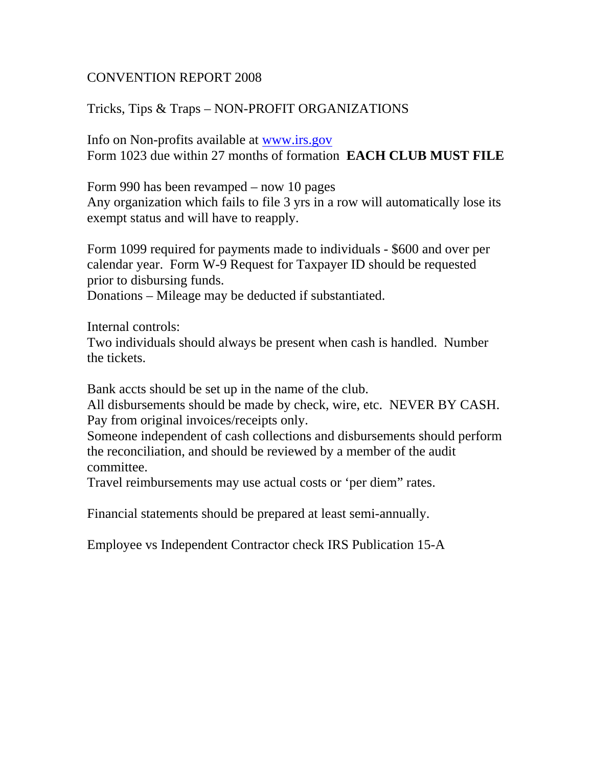## CONVENTION REPORT 2008

## Tricks, Tips & Traps – NON-PROFIT ORGANIZATIONS

Info on Non-profits available at www.irs.gov Form 1023 due within 27 months of formation **EACH CLUB MUST FILE** 

Form 990 has been revamped – now 10 pages Any organization which fails to file 3 yrs in a row will automatically lose its exempt status and will have to reapply.

Form 1099 required for payments made to individuals - \$600 and over per calendar year. Form W-9 Request for Taxpayer ID should be requested prior to disbursing funds.

Donations – Mileage may be deducted if substantiated.

Internal controls:

Two individuals should always be present when cash is handled. Number the tickets.

Bank accts should be set up in the name of the club.

All disbursements should be made by check, wire, etc. NEVER BY CASH. Pay from original invoices/receipts only.

Someone independent of cash collections and disbursements should perform the reconciliation, and should be reviewed by a member of the audit committee.

Travel reimbursements may use actual costs or 'per diem" rates.

Financial statements should be prepared at least semi-annually.

Employee vs Independent Contractor check IRS Publication 15-A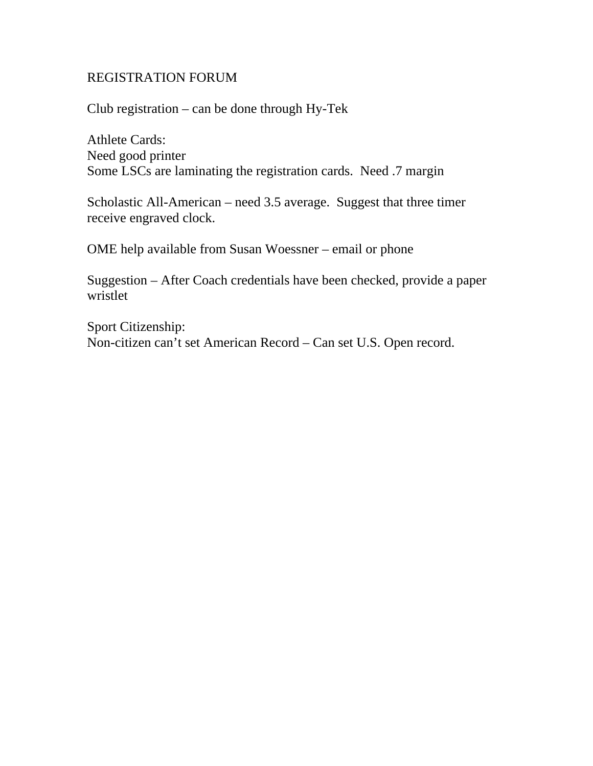## REGISTRATION FORUM

Club registration – can be done through Hy-Tek

Athlete Cards: Need good printer Some LSCs are laminating the registration cards. Need .7 margin

Scholastic All-American – need 3.5 average. Suggest that three timer receive engraved clock.

OME help available from Susan Woessner – email or phone

Suggestion – After Coach credentials have been checked, provide a paper wristlet

Sport Citizenship: Non-citizen can't set American Record – Can set U.S. Open record.